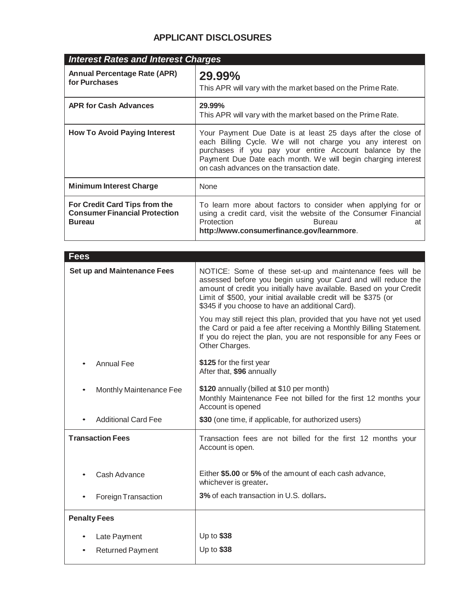# **APPLICANT DISCLOSURES**

| <b>Interest Rates and Interest Charges</b>                                             |                                                                                                                                                                                                                                                                                                    |
|----------------------------------------------------------------------------------------|----------------------------------------------------------------------------------------------------------------------------------------------------------------------------------------------------------------------------------------------------------------------------------------------------|
| <b>Annual Percentage Rate (APR)</b><br>for Purchases                                   | 29.99%<br>This APR will vary with the market based on the Prime Rate.                                                                                                                                                                                                                              |
| <b>APR for Cash Advances</b>                                                           | 29.99%<br>This APR will vary with the market based on the Prime Rate.                                                                                                                                                                                                                              |
| <b>How To Avoid Paying Interest</b>                                                    | Your Payment Due Date is at least 25 days after the close of<br>each Billing Cycle. We will not charge you any interest on<br>purchases if you pay your entire Account balance by the<br>Payment Due Date each month. We will begin charging interest<br>on cash advances on the transaction date. |
| <b>Minimum Interest Charge</b>                                                         | None                                                                                                                                                                                                                                                                                               |
| For Credit Card Tips from the<br><b>Consumer Financial Protection</b><br><b>Bureau</b> | To learn more about factors to consider when applying for or<br>using a credit card, visit the website of the Consumer Financial<br>Protection<br><b>Bureau</b><br>at<br>http://www.consumerfinance.gov/learnmore.                                                                                 |

| <b>Fees</b>                        |                                                                                                                                                                                                                                                                                                                          |
|------------------------------------|--------------------------------------------------------------------------------------------------------------------------------------------------------------------------------------------------------------------------------------------------------------------------------------------------------------------------|
| <b>Set up and Maintenance Fees</b> | NOTICE: Some of these set-up and maintenance fees will be<br>assessed before you begin using your Card and will reduce the<br>amount of credit you initially have available. Based on your Credit<br>Limit of \$500, your initial available credit will be \$375 (or<br>\$345 if you choose to have an additional Card). |
|                                    | You may still reject this plan, provided that you have not yet used<br>the Card or paid a fee after receiving a Monthly Billing Statement.<br>If you do reject the plan, you are not responsible for any Fees or<br>Other Charges.                                                                                       |
| <b>Annual Fee</b>                  | \$125 for the first year<br>After that, \$96 annually                                                                                                                                                                                                                                                                    |
| Monthly Maintenance Fee            | \$120 annually (billed at \$10 per month)<br>Monthly Maintenance Fee not billed for the first 12 months your<br>Account is opened                                                                                                                                                                                        |
| <b>Additional Card Fee</b>         | \$30 (one time, if applicable, for authorized users)                                                                                                                                                                                                                                                                     |
| <b>Transaction Fees</b>            | Transaction fees are not billed for the first 12 months your<br>Account is open.                                                                                                                                                                                                                                         |
| Cash Advance                       | Either \$5.00 or 5% of the amount of each cash advance,<br>whichever is greater.                                                                                                                                                                                                                                         |
| Foreign Transaction                | 3% of each transaction in U.S. dollars.                                                                                                                                                                                                                                                                                  |
| <b>Penalty Fees</b>                |                                                                                                                                                                                                                                                                                                                          |
| Late Payment                       | Up to \$38                                                                                                                                                                                                                                                                                                               |
|                                    | Up to \$38                                                                                                                                                                                                                                                                                                               |
| <b>Returned Payment</b>            |                                                                                                                                                                                                                                                                                                                          |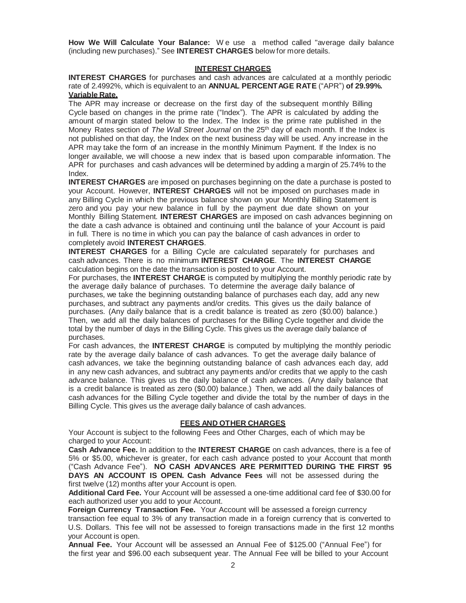**How We Will Calculate Your Balance:** W e use a method called "average daily balance (including new purchases)." See **INTEREST CHARGES** below for more details.

### **INTEREST CHARGES**

**INTEREST CHARGES** for purchases and cash advances are calculated at a monthly periodic rate of 2.4992%, which is equivalent to an **ANNUAL PERCENTAGE RATE** ("APR") **of 29.99%. Variable Rate.**

The APR may increase or decrease on the first day of the subsequent monthly Billing Cycle based on changes in the prime rate ("Index"). The APR is calculated by adding the amount of margin stated below to the Index. The Index is the prime rate published in the Money Rates section of *The Wall Street Journal* on the 25 th day of each month. If the Index is not published on that day, the Index on the next business day will be used. Any increase in the APR may take the form of an increase in the monthly Minimum Payment. If the Index is no longer available, we will choose a new index that is based upon comparable information. The APR for purchases and cash advances will be determined by adding a margin of 25.74% to the Index.

**INTEREST CHARGES** are imposed on purchases beginning on the date a purchase is posted to your Account. However, **INTEREST CHARGES** will not be imposed on purchases made in any Billing Cycle in which the previous balance shown on your Monthly Billing Statement is zero and you pay your new balance in full by the payment due date shown on your Monthly Billing Statement. **INTEREST CHARGES** are imposed on cash advances beginning on the date a cash advance is obtained and continuing until the balance of your Account is paid in full. There is no time in which you can pay the balance of cash advances in order to completely avoid **INTEREST CHARGES**.

**INTEREST CHARGES** for a Billing Cycle are calculated separately for purchases and cash advances. There is no minimum **INTEREST CHARGE**. The **INTEREST CHARGE** calculation begins on the date the transaction is posted to your Account.

For purchases, the **INTEREST CHARGE** is computed by multiplying the monthly periodic rate by the average daily balance of purchases. To determine the average daily balance of purchases, we take the beginning outstanding balance of purchases each day, add any new purchases, and subtract any payments and/or credits. This gives us the daily balance of purchases. (Any daily balance that is a credit balance is treated as zero (\$0.00) balance.) Then, we add all the daily balances of purchases for the Billing Cycle together and divide the total by the number of days in the Billing Cycle. This gives us the average daily balance of purchases.

For cash advances, the **INTEREST CHARGE** is computed by multiplying the monthly periodic rate by the average daily balance of cash advances. To get the average daily balance of cash advances, we take the beginning outstanding balance of cash advances each day, add in any new cash advances, and subtract any payments and/or credits that we apply to the cash advance balance. This gives us the daily balance of cash advances. (Any daily balance that is a credit balance is treated as zero (\$0.00) balance.) Then, we add all the daily balances of cash advances for the Billing Cycle together and divide the total by the number of days in the Billing Cycle. This gives us the average daily balance of cash advances.

## **FEES AND OTHER CHARGES**

Your Account is subject to the following Fees and Other Charges, each of which may be charged to your Account:

**Cash Advance Fee.** In addition to the **INTEREST CHARGE** on cash advances, there is a fee of 5% or \$5.00, whichever is greater, for each cash advance posted to your Account that month ("Cash Advance Fee"). **NO CASH ADVANCES ARE PERMITTED DURING THE FIRST 95 DAYS AN ACCOUNT IS OPEN. Cash Advance Fees** will not be assessed during the first twelve (12) months after your Account is open.

**Additional Card Fee.** Your Account will be assessed a one-time additional card fee of \$30.00 for each authorized user you add to your Account.

**Foreign Currency Transaction Fee.** Your Account will be assessed a foreign currency transaction fee equal to 3% of any transaction made in a foreign currency that is converted to U.S. Dollars. This fee will not be assessed to foreign transactions made in the first 12 months your Account is open.

**Annual Fee.** Your Account will be assessed an Annual Fee of \$125.00 ("Annual Fee") for the first year and \$96.00 each subsequent year. The Annual Fee will be billed to your Account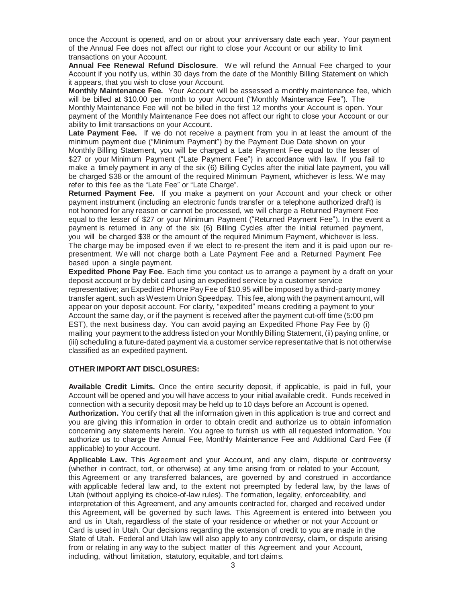once the Account is opened, and on or about your anniversary date each year. Your payment of the Annual Fee does not affect our right to close your Account or our ability to limit transactions on your Account.

**Annual Fee Renewal Refund Disclosure**. We will refund the Annual Fee charged to your Account if you notify us, within 30 days from the date of the Monthly Billing Statement on which it appears, that you wish to close your Account.

**Monthly Maintenance Fee.** Your Account will be assessed a monthly maintenance fee, which will be billed at \$10.00 per month to your Account ("Monthly Maintenance Fee"). The Monthly Maintenance Fee will not be billed in the first 12 months your Account is open. Your payment of the Monthly Maintenance Fee does not affect our right to close your Account or our ability to limit transactions on your Account.

**Late Payment Fee.** If we do not receive a payment from you in at least the amount of the minimum payment due ("Minimum Payment") by the Payment Due Date shown on your Monthly Billing Statement, you will be charged a Late Payment Fee equal to the lesser of \$27 or your Minimum Payment ("Late Payment Fee") in accordance with law. If you fail to make a timely payment in any of the six (6) Billing Cycles after the initial late payment, you will be charged \$38 or the amount of the required Minimum Payment, whichever is less. We may refer to this fee as the "Late Fee" or "Late Charge".

**Returned Payment Fee.** If you make a payment on your Account and your check or other payment instrument (including an electronic funds transfer or a telephone authorized draft) is not honored for any reason or cannot be processed, we will charge a Returned Payment Fee equal to the lesser of \$27 or your Minimum Payment ("Returned Payment Fee"). In the event a payment is returned in any of the six (6) Billing Cycles after the initial returned payment, you will be charged \$38 or the amount of the required Minimum Payment, whichever is less. The charge may be imposed even if we elect to re-present the item and it is paid upon our representment. We will not charge both a Late Payment Fee and a Returned Payment Fee based upon a single payment.

**Expedited Phone Pay Fee.** Each time you contact us to arrange a payment by a draft on your deposit account or by debit card using an expedited service by a customer service representative; an Expedited Phone Pay Fee of \$10.95 will be imposed by a third-party money transfer agent, such as Western Union Speedpay. This fee, along with the payment amount, will appear on your deposit account. For clarity, "expedited" means crediting a payment to your Account the same day, or if the payment is received after the payment cut-off time (5:00 pm EST), the next business day. You can avoid paying an Expedited Phone Pay Fee by (i) mailing your payment to the address listed on your Monthly Billing Statement, (ii) paying online, or (iii) scheduling a future-dated payment via a customer service representative that is not otherwise classified as an expedited payment.

#### **OTHER IMPORTANT DISCLOSURES:**

**Available Credit Limits.** Once the entire security deposit, if applicable, is paid in full, your Account will be opened and you will have access to your initial available credit. Funds received in connection with a security deposit may be held up to 10 days before an Account is opened.

**Authorization.** You certify that all the information given in this application is true and correct and you are giving this information in order to obtain credit and authorize us to obtain information concerning any statements herein. You agree to furnish us with all requested information. You authorize us to charge the Annual Fee, Monthly Maintenance Fee and Additional Card Fee (if applicable) to your Account.

**Applicable Law.** This Agreement and your Account, and any claim, dispute or controversy (whether in contract, tort, or otherwise) at any time arising from or related to your Account, this Agreement or any transferred balances, are governed by and construed in accordance with applicable federal law and, to the extent not preempted by federal law, by the laws of Utah (without applying its choice-of-law rules). The formation, legality, enforceability, and interpretation of this Agreement, and any amounts contracted for, charged and received under this Agreement, will be governed by such laws. This Agreement is entered into between you and us in Utah, regardless of the state of your residence or whether or not your Account or Card is used in Utah. Our decisions regarding the extension of credit to you are made in the State of Utah. Federal and Utah law will also apply to any controversy, claim, or dispute arising from or relating in any way to the subject matter of this Agreement and your Account, including, without limitation, statutory, equitable, and tort claims.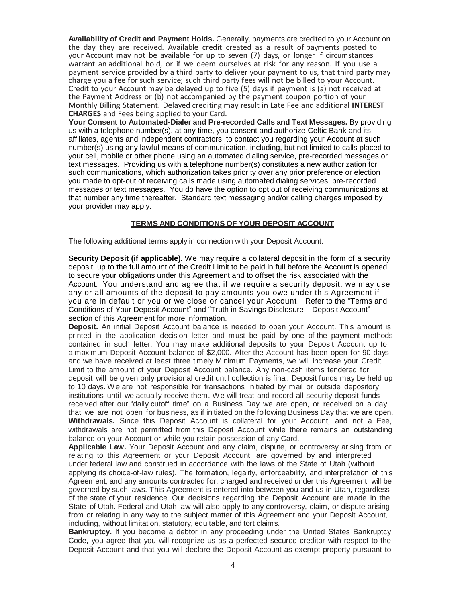**Availability of Credit and Payment Holds.** Generally, payments are credited to your Account on the day they are received. Available credit created as a result of payments posted to your Account may not be available for up to seven (7) days, or longer if circumstances warrant an additional hold, or if we deem ourselves at risk for any reason. If you use a payment service provided by a third party to deliver your payment to us, that third party may charge you a fee for such service; such third party fees will not be billed to your Account. Credit to your Account may be delayed up to five (5) days if payment is (a) not received at the Payment Address or (b) not accompanied by the payment coupon portion of your Monthly Billing Statement. Delayed crediting may result in Late Fee and additional **INTEREST CHARGES** and Fees being applied to your Card.

**Your Consent to Automated-Dialer and Pre-recorded Calls and Text Messages.** By providing us with a telephone number(s), at any time, you consent and authorize Celtic Bank and its affiliates, agents and independent contractors, to contact you regarding your Account at such number(s) using any lawful means of communication, including, but not limited to calls placed to your cell, mobile or other phone using an automated dialing service, pre-recorded messages or text messages. Providing us with a telephone number(s) constitutes a new authorization for such communications, which authorization takes priority over any prior preference or election you made to opt-out of receiving calls made using automated dialing services, pre-recorded messages or text messages. You do have the option to opt out of receiving communications at that number any time thereafter. Standard text messaging and/or calling charges imposed by your provider may apply.

## **TERMS AND CONDITIONS OF YOUR DEPOSIT ACCOUNT**

The following additional terms apply in connection with your Deposit Account.

**Security Deposit (if applicable).** We may require a collateral deposit in the form of a security deposit, up to the full amount of the Credit Limit to be paid in full before the Account is opened to secure your obligations under this Agreement and to offset the risk associated with the Account. You understand and agree that if we require a security deposit, we may use any or all amounts of the deposit to pay amounts you owe under this Agreement if you are in default or you or we close or cancel your Account. Refer to the "Terms and Conditions of Your Deposit Account" and "Truth in Savings Disclosure – Deposit Account" section of this Agreement for more information.

**Deposit.** An initial Deposit Account balance is needed to open your Account. This amount is printed in the application decision letter and must be paid by one of the payment methods contained in such letter. You may make additional deposits to your Deposit Account up to a maximum Deposit Account balance of \$2,000. After the Account has been open for 90 days and we have received at least three timely Minimum Payments, we will increase your Credit Limit to the amount of your Deposit Account balance. Any non-cash items tendered for deposit will be given only provisional credit until collection is final. Deposit funds may be held up to 10 days. We are not responsible for transactions initiated by mail or outside depository institutions until we actually receive them. We will treat and record all security deposit funds received after our "daily cutoff time" on a Business Day we are open, or received on a day that we are not open for business, as if initiated on the following Business Day that we are open. **Withdrawals.** Since this Deposit Account is collateral for your Account, and not a Fee, withdrawals are not permitted from this Deposit Account while there remains an outstanding balance on your Account or while you retain possession of any Card.

**Applicable Law.** Your Deposit Account and any claim, dispute, or controversy arising from or relating to this Agreement or your Deposit Account, are governed by and interpreted under federal law and construed in accordance with the laws of the State of Utah (without applying its choice-of-law rules). The formation, legality, enforceability, and interpretation of this Agreement, and any amounts contracted for, charged and received under this Agreement, will be governed by such laws. This Agreement is entered into between you and us in Utah, regardless of the state of your residence. Our decisions regarding the Deposit Account are made in the State of Utah. Federal and Utah law will also apply to any controversy, claim, or dispute arising from or relating in any way to the subject matter of this Agreement and your Deposit Account, including, without limitation, statutory, equitable, and tort claims.

**Bankruptcy.** If you become a debtor in any proceeding under the United States Bankruptcy Code, you agree that you will recognize us as a perfected secured creditor with respect to the Deposit Account and that you will declare the Deposit Account as exempt property pursuant to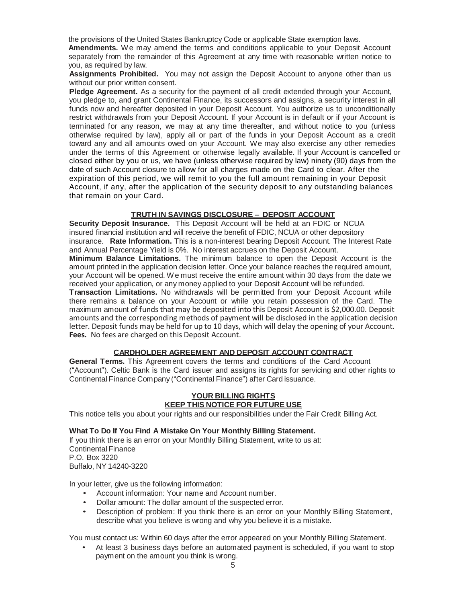the provisions of the United States Bankruptcy Code or applicable State exemption laws.

**Amendments.** We may amend the terms and conditions applicable to your Deposit Account separately from the remainder of this Agreement at any time with reasonable written notice to you, as required by law.

**Assignments Prohibited.** You may not assign the Deposit Account to anyone other than us without our prior written consent.

**Pledge Agreement.** As a security for the payment of all credit extended through your Account, you pledge to, and grant Continental Finance, its successors and assigns, a security interest in all funds now and hereafter deposited in your Deposit Account. You authorize us to unconditionally restrict withdrawals from your Deposit Account. If your Account is in default or if your Account is terminated for any reason, we may at any time thereafter, and without notice to you (unless otherwise required by law), apply all or part of the funds in your Deposit Account as a credit toward any and all amounts owed on your Account. We may also exercise any other remedies under the terms of this Agreement or otherwise legally available. If your Account is cancelled or closed either by you or us, we have (unless otherwise required by law) ninety (90) days from the date of such Account closure to allow for all charges made on the Card to clear. After the expiration of this period, we will remit to you the full amount remaining in your Deposit Account, if any, after the application of the security deposit to any outstanding balances that remain on your Card.

# **TRUTH IN SAVINGS DISCLOSURE – DEPOSIT ACCOUNT**

**Security Deposit Insurance.** This Deposit Account will be held at an FDIC or NCUA insured financial institution and will receive the benefit of FDIC, NCUA or other depository insurance. **Rate Information.** This is a non-interest bearing Deposit Account. The Interest Rate and Annual Percentage Yield is 0%. No interest accrues on the Deposit Account. **Minimum Balance Limitations.** The minimum balance to open the Deposit Account is the amount printed in the application decision letter. Once your balance reaches the required amount, your Account will be opened. We must receive the entire amount within 30 days from the date we received your application, or any money applied to your Deposit Account will be refunded. **Transaction Limitations.** No withdrawals will be permitted from your Deposit Account while there remains a balance on your Account or while you retain possession of the Card. The maximum amount of funds that may be deposited into this Deposit Account is \$2,000.00. Deposit amounts and the corresponding methods of payment will be disclosed in the application decision letter. Deposit funds may be held for up to 10 days, which will delay the opening of your Account. **Fees.** No fees are charged on this Deposit Account.

# **CARDHOLDER AGREEMENT AND DEPOSIT ACCOUNT CONTRACT**

**General Terms.** This Agreement covers the terms and conditions of the Card Account ("Account"). Celtic Bank is the Card issuer and assigns its rights for servicing and other rights to Continental Finance Company ("Continental Finance") after Card issuance.

# **YOUR BILLING RIGHTS KEEP THIS NOTICE FOR FUTURE USE**

This notice tells you about your rights and our responsibilities under the Fair Credit Billing Act.

**What To Do If You Find A Mistake On Your Monthly Billing Statement.**

If you think there is an error on your Monthly Billing Statement, write to us at: Continental Finance P.O. Box 3220 Buffalo, NY 14240-3220

In your letter, give us the following information:

- Account information: Your name and Account number.
- Dollar amount: The dollar amount of the suspected error.
- Description of problem: If you think there is an error on your Monthly Billing Statement, describe what you believe is wrong and why you believe it is a mistake.

You must contact us: Within 60 days after the error appeared on your Monthly Billing Statement.

• At least 3 business days before an automated payment is scheduled, if you want to stop payment on the amount you think is wrong.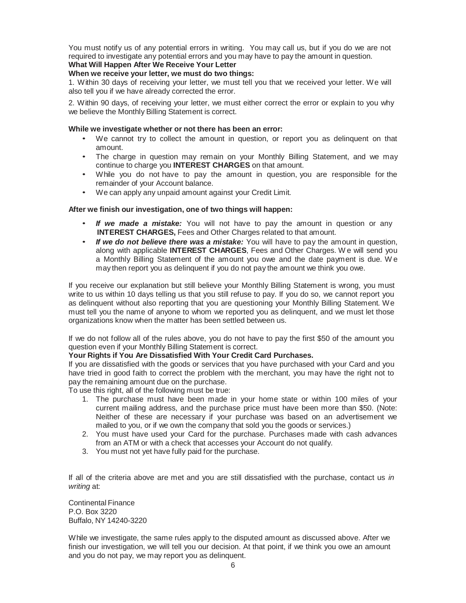You must notify us of any potential errors in writing. You may call us, but if you do we are not required to investigate any potential errors and you may have to pay the amount in question.

# **What Will Happen After We Receive Your Letter**

## **When we receive your letter, we must do two things:**

1. Within 30 days of receiving your letter, we must tell you that we received your letter. We will also tell you if we have already corrected the error.

2. Within 90 days, of receiving your letter, we must either correct the error or explain to you why we believe the Monthly Billing Statement is correct.

### **While we investigate whether or not there has been an error:**

- We cannot try to collect the amount in question, or report you as delinquent on that amount.
- The charge in question may remain on your Monthly Billing Statement, and we may continue to charge you **INTEREST CHARGES** on that amount.
- While you do not have to pay the amount in question, you are responsible for the remainder of your Account balance.
- We can apply any unpaid amount against your Credit Limit.

### **After we finish our investigation, one of two things will happen:**

- *If we made a mistake:* You will not have to pay the amount in question or any **INTEREST CHARGES,** Fees and Other Charges related to that amount.
- *If we do not believe there was a mistake:* You will have to pay the amount in question, along with applicable **INTEREST CHARGES**, Fees and Other Charges. W e will send you a Monthly Billing Statement of the amount you owe and the date payment is due. W e may then report you as delinquent if you do not pay the amount we think you owe.

If you receive our explanation but still believe your Monthly Billing Statement is wrong, you must write to us within 10 days telling us that you still refuse to pay. If you do so, we cannot report you as delinquent without also reporting that you are questioning your Monthly Billing Statement. We must tell you the name of anyone to whom we reported you as delinquent, and we must let those organizations know when the matter has been settled between us.

If we do not follow all of the rules above, you do not have to pay the first \$50 of the amount you question even if your Monthly Billing Statement is correct.

## **Your Rights if You Are Dissatisfied With Your Credit Card Purchases.**

If you are dissatisfied with the goods or services that you have purchased with your Card and you have tried in good faith to correct the problem with the merchant, you may have the right not to pay the remaining amount due on the purchase.

To use this right, all of the following must be true:

- 1. The purchase must have been made in your home state or within 100 miles of your current mailing address, and the purchase price must have been more than \$50. (Note: Neither of these are necessary if your purchase was based on an advertisement we mailed to you, or if we own the company that sold you the goods or services.)
- 2. You must have used your Card for the purchase. Purchases made with cash advances from an ATM or with a check that accesses your Account do not qualify.
- 3. You must not yet have fully paid for the purchase.

If all of the criteria above are met and you are still dissatisfied with the purchase, contact us *in writing* at:

Continental Finance P.O. Box 3220 Buffalo, NY 14240-3220

While we investigate, the same rules apply to the disputed amount as discussed above. After we finish our investigation, we will tell you our decision. At that point, if we think you owe an amount and you do not pay, we may report you as delinquent.